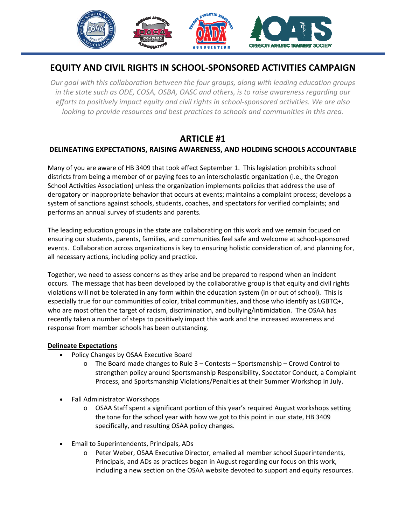

# **EQUITY AND CIVIL RIGHTS IN SCHOOL‐SPONSORED ACTIVITIES CAMPAIGN**

*Our goal with this collaboration between the four groups, along with leading education groups in the state such as ODE, COSA, OSBA, OASC and others, is to raise awareness regarding our efforts to positively impact equity and civil rights in school‐sponsored activities. We are also looking to provide resources and best practices to schools and communities in this area.* 

## **ARTICLE #1**

### **DELINEATING EXPECTATIONS, RAISING AWARENESS, AND HOLDING SCHOOLS ACCOUNTABLE**

Many of you are aware of HB 3409 that took effect September 1. This legislation prohibits school districts from being a member of or paying fees to an interscholastic organization (i.e., the Oregon School Activities Association) unless the organization implements policies that address the use of derogatory or inappropriate behavior that occurs at events; maintains a complaint process; develops a system of sanctions against schools, students, coaches, and spectators for verified complaints; and performs an annual survey of students and parents.

The leading education groups in the state are collaborating on this work and we remain focused on ensuring our students, parents, families, and communities feel safe and welcome at school‐sponsored events. Collaboration across organizations is key to ensuring holistic consideration of, and planning for, all necessary actions, including policy and practice.

Together, we need to assess concerns as they arise and be prepared to respond when an incident occurs. The message that has been developed by the collaborative group is that equity and civil rights violations will not be tolerated in any form within the education system (in or out of school). This is especially true for our communities of color, tribal communities, and those who identify as LGBTQ+, who are most often the target of racism, discrimination, and bullying/intimidation. The OSAA has recently taken a number of steps to positively impact this work and the increased awareness and response from member schools has been outstanding.

### **Delineate Expectations**

- Policy Changes by OSAA Executive Board
	- $\circ$  The Board made changes to Rule 3 Contests Sportsmanship Crowd Control to strengthen policy around Sportsmanship Responsibility, Spectator Conduct, a Complaint Process, and Sportsmanship Violations/Penalties at their Summer Workshop in July.
- Fall Administrator Workshops
	- o OSAA Staff spent a significant portion of this year's required August workshops setting the tone for the school year with how we got to this point in our state, HB 3409 specifically, and resulting OSAA policy changes.
- Email to Superintendents, Principals, ADs
	- o Peter Weber, OSAA Executive Director, emailed all member school Superintendents, Principals, and ADs as practices began in August regarding our focus on this work, including a new section on the OSAA website devoted to support and equity resources.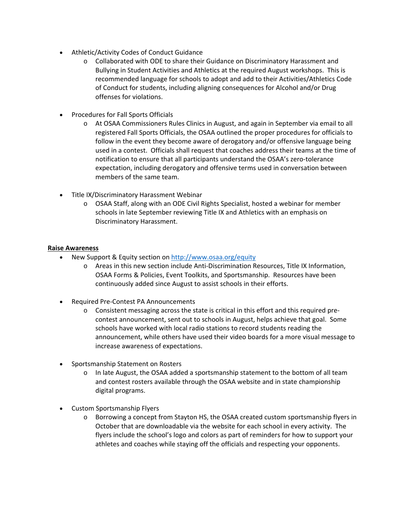- Athletic/Activity Codes of Conduct Guidance
	- o Collaborated with ODE to share their Guidance on Discriminatory Harassment and Bullying in Student Activities and Athletics at the required August workshops. This is recommended language for schools to adopt and add to their Activities/Athletics Code of Conduct for students, including aligning consequences for Alcohol and/or Drug offenses for violations.
- Procedures for Fall Sports Officials
	- o At OSAA Commissioners Rules Clinics in August, and again in September via email to all registered Fall Sports Officials, the OSAA outlined the proper procedures for officials to follow in the event they become aware of derogatory and/or offensive language being used in a contest. Officials shall request that coaches address their teams at the time of notification to ensure that all participants understand the OSAA's zero‐tolerance expectation, including derogatory and offensive terms used in conversation between members of the same team.
- Title IX/Discriminatory Harassment Webinar
	- o OSAA Staff, along with an ODE Civil Rights Specialist, hosted a webinar for member schools in late September reviewing Title IX and Athletics with an emphasis on Discriminatory Harassment.

#### **Raise Awareness**

- New Support & Equity section on http://www.osaa.org/equity
	- o Areas in this new section include Anti‐Discrimination Resources, Title IX Information, OSAA Forms & Policies, Event Toolkits, and Sportsmanship. Resources have been continuously added since August to assist schools in their efforts.
- Required Pre‐Contest PA Announcements
	- o Consistent messaging across the state is critical in this effort and this required pre‐ contest announcement, sent out to schools in August, helps achieve that goal. Some schools have worked with local radio stations to record students reading the announcement, while others have used their video boards for a more visual message to increase awareness of expectations.
- Sportsmanship Statement on Rosters
	- $\circ$  In late August, the OSAA added a sportsmanship statement to the bottom of all team and contest rosters available through the OSAA website and in state championship digital programs.
- Custom Sportsmanship Flyers
	- o Borrowing a concept from Stayton HS, the OSAA created custom sportsmanship flyers in October that are downloadable via the website for each school in every activity. The flyers include the school's logo and colors as part of reminders for how to support your athletes and coaches while staying off the officials and respecting your opponents.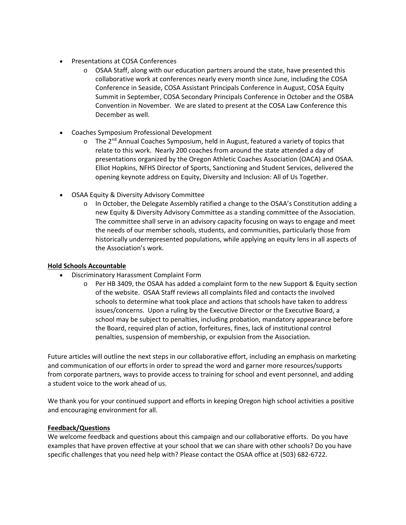- Presentations at COSA Conferences
	- $\circ$  OSAA Staff, along with our education partners around the state, have presented this collaborative work at conferences nearly every month since June, including the COSA Conference in Seaside, COSA Assistant Principals Conference in August, COSA Equity Summit in September, COSA Secondary Principals Conference in October and the OSBA Convention in November. We are slated to present at the COSA Law Conference this December as well.
- Coaches Symposium Professional Development
	- $\circ$  The 2<sup>nd</sup> Annual Coaches Symposium, held in August, featured a variety of topics that relate to this work. Nearly 200 coaches from around the state attended a day of presentations organized by the Oregon Athletic Coaches Association (OACA) and OSAA. Elliot Hopkins, NFHS Director of Sports, Sanctioning and Student Services, delivered the opening keynote address on Equity, Diversity and Inclusion: All of Us Together.
- OSAA Equity & Diversity Advisory Committee
	- o In October, the Delegate Assembly ratified a change to the OSAA's Constitution adding a new Equity & Diversity Advisory Committee as a standing committee of the Association. The committee shall serve in an advisory capacity focusing on ways to engage and meet the needs of our member schools, students, and communities, particularly those from historically underrepresented populations, while applying an equity lens in all aspects of the Association's work.

#### **Hold Schools Accountable**

- Discriminatory Harassment Complaint Form
	- o Per HB 3409, the OSAA has added a complaint form to the new Support & Equity section of the website. OSAA Staff reviews all complaints filed and contacts the involved schools to determine what took place and actions that schools have taken to address issues/concerns. Upon a ruling by the Executive Director or the Executive Board, a school may be subject to penalties, including probation, mandatory appearance before the Board, required plan of action, forfeitures, fines, lack of institutional control penalties, suspension of membership, or expulsion from the Association.

Future articles will outline the next steps in our collaborative effort, including an emphasis on marketing and communication of our efforts in order to spread the word and garner more resources/supports from corporate partners, ways to provide access to training for school and event personnel, and adding a student voice to the work ahead of us.

We thank you for your continued support and efforts in keeping Oregon high school activities a positive and encouraging environment for all.

#### **Feedback/Questions**

We welcome feedback and questions about this campaign and our collaborative efforts. Do you have examples that have proven effective at your school that we can share with other schools? Do you have specific challenges that you need help with? Please contact the OSAA office at (503) 682‐6722.